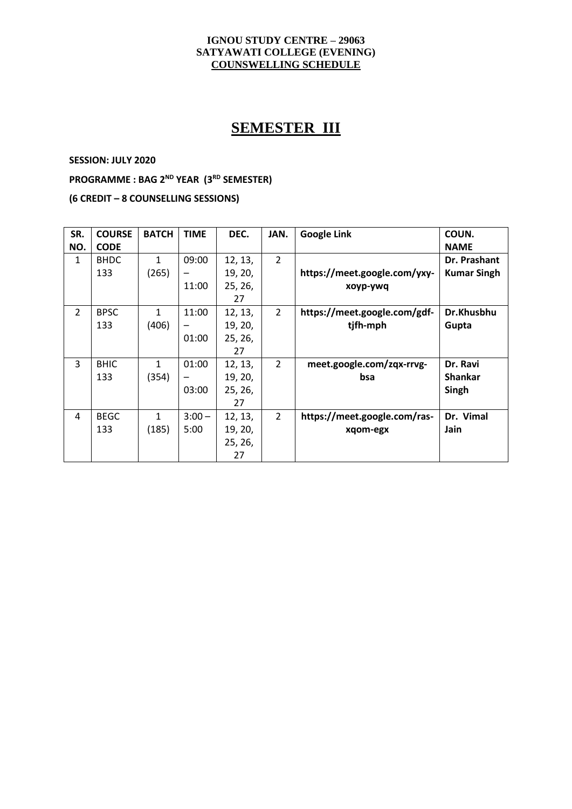#### **IGNOU STUDY CENTRE – 29063 SATYAWATI COLLEGE (EVENING) COUNSWELLING SCHEDULE**

# **SEMESTER III**

**SESSION: JULY 2020**

**PROGRAMME : BAG 2ND YEAR (3RD SEMESTER)**

**(6 CREDIT – 8 COUNSELLING SESSIONS)**

| SR.            | <b>COURSE</b> | <b>BATCH</b> | <b>TIME</b>              | DEC.    | JAN.           | <b>Google Link</b>           | COUN.              |
|----------------|---------------|--------------|--------------------------|---------|----------------|------------------------------|--------------------|
| NO.            | <b>CODE</b>   |              |                          |         |                |                              | <b>NAME</b>        |
| $\mathbf{1}$   | <b>BHDC</b>   | 1            | 09:00                    | 12, 13, | $\overline{2}$ |                              | Dr. Prashant       |
|                | 133           | (265)        |                          | 19, 20, |                | https://meet.google.com/yxy- | <b>Kumar Singh</b> |
|                |               |              | 11:00                    | 25, 26, |                | xoyp-ywq                     |                    |
|                |               |              |                          | 27      |                |                              |                    |
| $\overline{2}$ | <b>BPSC</b>   | $\mathbf{1}$ | 11:00                    | 12, 13, | $\overline{2}$ | https://meet.google.com/gdf- | Dr.Khusbhu         |
|                | 133           | (406)        |                          | 19, 20, |                | tjfh-mph                     | Gupta              |
|                |               |              | 01:00                    | 25, 26, |                |                              |                    |
|                |               |              |                          | 27      |                |                              |                    |
| 3              | <b>BHIC</b>   | 1            | 01:00                    | 12, 13, | $\overline{2}$ | meet.google.com/zqx-rrvg-    | Dr. Ravi           |
|                | 133           | (354)        | $\overline{\phantom{0}}$ | 19, 20, |                | bsa                          | <b>Shankar</b>     |
|                |               |              | 03:00                    | 25, 26, |                |                              | Singh              |
|                |               |              |                          | 27      |                |                              |                    |
| 4              | <b>BEGC</b>   | 1            | $3:00 -$                 | 12, 13, | $\overline{2}$ | https://meet.google.com/ras- | Dr. Vimal          |
|                | 133           | (185)        | 5:00                     | 19, 20, |                | xgom-egx                     | Jain               |
|                |               |              |                          | 25, 26, |                |                              |                    |
|                |               |              |                          | 27      |                |                              |                    |